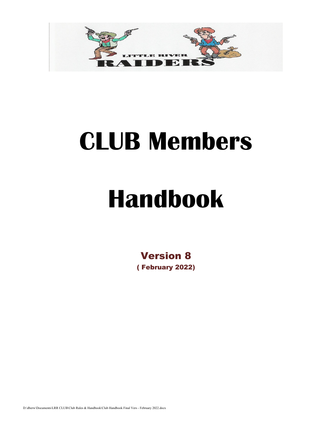

# **CLUB Members**

# **Handbook**

Version 8 ( February 2022)

D:\dberw\Documents\LRR CLUB\Club Rules & Handbook\Club Handbook Final Vers - February 2022.docx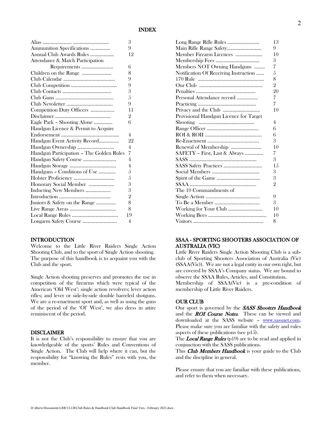|                                          | 3              |
|------------------------------------------|----------------|
| Ammunition Specifications                | 9              |
| Annual Club Awards Rules                 | 12             |
| Attendance & Match Participation         |                |
|                                          | 6              |
| Children on the Range                    | 8              |
|                                          | 9              |
|                                          | 9              |
|                                          | 3              |
|                                          | 5              |
|                                          | 9              |
| Competition Duty Officers                | 11             |
|                                          | 2              |
| Eagle Park - Shooting Alone              | 6              |
| Handgun Licence & Permit to Acquire      |                |
|                                          | 4              |
| Handgun Event Activity Record            | 22             |
|                                          | 4              |
| Handgun Participation - The Golden Rules | 7              |
| Handgun Safety Course                    | $\overline{4}$ |
|                                          | 4              |
| Handguns - Conditions of Use             | 5              |
|                                          | 5              |
| Honorary Social Member                   | 3              |
| Inducting New Members                    | 3              |
|                                          | $\overline{2}$ |
| Juniors & Safety on the Range            | 8              |
|                                          | 8              |
|                                          | 19             |
| Longarm Safety Course                    | 4              |

#### INTRODUCTION

Welcome to the Little River Raiders Single Action Shooting Club, and to the sport of Single Action shooting. The purpose of this handbook is to acquaint you with the Club and the sport.

Single Action shooting preserves and promotes the use in competition of the firearms which were typical of the American 'Old West': single action revolvers; lever action rifles; and lever or side-by-side double barreled shotguns. We are a re-enactment sport and, as well as using the guns of the period of the 'Ol' West', we also dress in attire reminiscent of the period.

#### DISCLAIMER

It is not the Club's responsibility to ensure that you are knowledgeable of the sports' Rules and Conventions of Single Action. The Club will help where it can, but the responsibility for "knowing the Rules" rests with you, the member.

|                                        | 13             |
|----------------------------------------|----------------|
| Main Rifle Range Safety                | 9              |
| Member Firearm Licences                | 10             |
|                                        | 3              |
| Members NOT Owning Handguns            | 7              |
| Notification Of Receiving Instruction  | 5              |
|                                        | 8              |
|                                        | $\overline{2}$ |
|                                        | 20             |
| Personal Attendance record             | 7              |
|                                        | 7              |
|                                        | 10             |
| Provisional Handgun Licence for Target |                |
|                                        | 4              |
|                                        | 6              |
|                                        | 6              |
|                                        | 3              |
| Renewal of Membership                  | 10             |
| SAFETY - First, Last & Always          | 7              |
|                                        | 3              |
|                                        | 15             |
|                                        | 3              |
|                                        | 3              |
|                                        | 2              |
| The 10 Commandments of                 |                |
|                                        | 9              |
|                                        | 3              |
|                                        | 10             |
|                                        | 10             |
|                                        | 8              |

#### SSAA - SPORTING SHOOTERS ASSOCIATION OF AUSTRALIA (VIC)

Little River Raiders Single Action Shooting Club is a subclub of Sporting Shooters Association of Australia (Vic) (SSAA(Vic)). We are not a legal entity in our own right, but are covered by SSAA's Company status. We are bound to observe the SSAA Rules, Articles, and Constitution. Membership of SSAA(Vic) is a pre-condition of

#### OUR CLUB

membership of Little River Raiders.

Our sport is governed by the **SASS Shooters Handbook** and the **ROI Course Notes**. These can be viewed and downloaded at the SASS website – [www.sassnet.com.](http://www.sassnet.com/) Please make sure you are familiar with the safety and rules aspects of these publications (see p15).

The **Local Range Rules** ( $p19$ ) are to be read and applied in conjunction with the SASS publications.

This Club Members Handbook is your guide to the Club and the discipline in general.

Please ensure that you are familiar with these publications, and refer to them when necessary.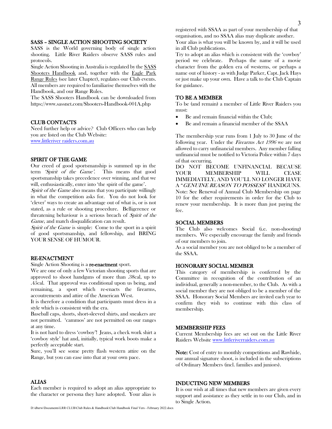#### SASS – SINGLE ACTION SHOOTING SOCIETY

SASS is the World governing body of single action shooting. Little River Raiders observe SASS rules and protocols.

Single Action Shooting in Australia is regulated by the SASS Shooters Handbook and, together with the Eagle Park Range Rules (see later Chapter), regulates our Club events. All members are required to familiarise themselves with the Handbook, and our Range Rules.

The SASS Shooters Handbook can be downloaded from https://www.sassnet.com/Shooters-Handbook-001A.php

#### CLUB CONTACTS

Need further help or advice? Club Officers who can help you are listed on the Club Website: [www.littleriver raiders.com.au](file:///D:/dberw/Documents/LRR%20CLUB/Club%20Rules%20&%20Handbook/www.littleriver%20raiders.com.au)

#### SPIRIT OF THE GAME

Our creed of good sportsmanship is summed up in the term 'Spirit of the Game'. This means that good sportsmanship takes precedence over winning, and that we will, enthusiastically, enter into 'the spirit of the game'.

Spirit of the Game also means that you participate willingly in what the competition asks for. You do not look for 'clever' ways to create an advantage out of what is, or is not stated, as a rule or shooting procedure. Belligerence or threatening behaviour is a serious breach of Spirit of the Game, and match disqualification can result.

Spirit of the Game is simple: Come to the sport in a spirit of good sportsmanship, and fellowship, and BRING YOUR SENSE OF HUMOUR.

#### RE-ENACTMENT

Single Action Shooting is a re-enactment sport.

We are one of only a few Victorian shooting sports that are approved to shoot handguns of more than .38cal, up to .45cal. That approval was conditional upon us being, and remaining, a sport which re-enacts the firearms, accoutrements and attire of the American West.

It is therefore a condition that participants must dress in a style which is consistent with the era.

Baseball caps, shorts, short-sleeved shirts, and sneakers are not permitted. 'cammos' are not permitted on our ranges at any time.

It is not hard to dress 'cowboy'! Jeans, a check work shirt a 'cowboy style' hat and, initially, typical work boots make a perfectly acceptable start.

Sure, you'll see some pretty flash western attire on the Range, but you can ease into that at your own pace.

#### ALIAS

Each member is required to adopt an alias appropriate to the character or persona they have adopted. Your alias is registered with SSAA as part of your membership of that organisation, and no SSAA alias may duplicate another.

Your alias is what you will be known by, and it will be used in all Club publications.

Try to adopt an alias which is consistent with the 'cowboy' period we celebrate. Perhaps the name of a movie character from the golden era of westerns, or perhaps a name out of history - as with Judge Parker, Capt. Jack Hays or just make up your own. Have a talk to the Club Captain for guidance.

#### TO BE A MEMBER

To be (and remain) a member of Little River Raiders you must:

- Be and remain financial within the Club;
- Be and remain a financial member of the SSAA

The membership year runs from 1 July to 30 June of the following year. Under the Firearms Act 1996 we are not allowed to carry unfinancial members. Any member falling unfinancial must be notified to Victoria Police within 7 days of that occurring.

DO NOT BECOME UNFINANCIAL BECAUSE YOUR MEMBERSHIP WILL CEASE IMMEDIATELY, AND YOU'LL NO LONGER HAVE A "GENUINE REASON TO POSSESS" HANDGUNS. Note: See Renewal of Annual Club Membership on page 10 for the other requirements in order for the Club to renew your membership. It is more than just paying the fee.

#### SOCIAL MEMBERS

The Club also welcomes Social (i.e. non-shooting) members. We especially encourage the family and friends of our members to join.

As a social member you are not obliged to be a member of the SSAA.

#### HONORARY SOCIAL MEMBER

This category of membership is conferred by the Committee in recognition of the contribution of an individual, generally a non-member, to the Club. As with a social member they are not obliged to be a member of the SSAA. Honorary Social Members are invited each year to confirm they wish to continue with this class of membership.

#### MEMBERSHIP FEES

Current Membership fees are set out on the Little River Raiders Website [www.littleriverraiders.com.au](file:///D:/dberw/Documents/LRR%20CLUB/Club%20Rules%20&%20Handbook/www.littleriverraiders.com.au)

Note: Cost of entry to monthly competitions and Rawhide, our annual signature shoot, is included in the subscriptions of Ordinary Members (incl. families and juniors).

#### INDUCTING NEW MEMBERS

It is our wish at all times that new members are given every support and assistance as they settle in to our Club, and in to Single Action.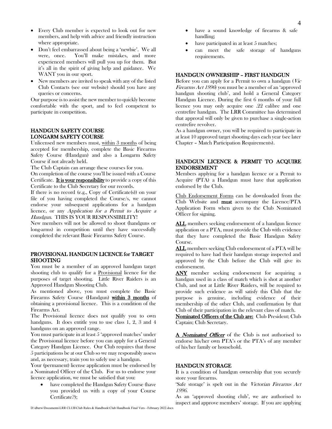- Every Club member is expected to look out for new members, and help with advice and friendly instruction where appropriate.
- Don't feel embarrassed about being a 'newbie'. We all were, once. You'll make mistakes, and more experienced members will pull you up for them. But it's all in the spirit of giving help and guidance. We WANT you in our sport.
- New members are invited to speak with any of the listed Club Contacts (see our website) should you have any queries or concerns.

Our purpose is to assist the new member to quickly become comfortable with the sport, and to feel competent to participate in competition.

#### HANDGUN SAFETY COURSE LONGARM SAFETY COURSE

Unlicensed new members must, within 3 months of being accepted for membership, complete the Basic Firearms Safety Course (Handgun) and also a Longarm Safety Course if not already held.

The Club Captain can arrange these courses for you.

On completion of the course you'll be issued with a Course Certificate. It is your responsibility to provide a copy of this Certificate to the Club Secretary for our records.

If there is no record (e.g., Copy of Certificate(s)) on your file of you having completed the Course/s, we cannot endorse your subsequent applications for a handgun licence, or any Application for a Permit to Acquire a Handgun. THIS IS YOUR RESPONSIBILITY!

New members will not be allowed to shoot (handguns or long-arms) in competition until they have successfully completed the relevant Basic Firearms Safety Course.

#### PROVISIONAL HANDGUN LICENCE for TARGET SHOOTING

You must be a member of an approved handgun target shooting club to qualify for a Provisional licence for the purposes of target shooting. Little River Raiders is an Approved Handgun Shooting Club.

As mentioned above, you must complete the Basic Firearms Safety Course (Handgun) within 3 months of obtaining a provisional licence. This is a condition of the Firearms Act.

The Provisional licence does not qualify you to own handguns. It does entitle you to use class 1, 2, 3 and 4 handguns on an approved range.

You must participate in at least 5 'approved matches' under the Provisional licence before you can apply for a General Category Handgun Licence. Our Club requires that those 5 participations be at our Club so we may responsibly assess and, as necessary, train you to safely use a handgun.

Your (permanent) license application must be endorsed by a Nominated Officer of the Club. For us to endorse your licence application, we must be satisfied that you:

have completed the Handgun Safety Course (have you provided us with a copy of your Course Certificate?);

- have a sound knowledge of firearms & safe handling;
- have participated in at least 5 matches;
- can meet the safe storage of handguns requirements.

#### HANDGUN OWNERSHIP – FIRST HANDGUN

Before you can apply for a Permit to own a handgun  $(Vic)$ Firearms Act 1996) you must be a member of an 'approved handgun shooting club', and hold a General Category Handgun Licence. During the first 6 months of your full licence you may only acquire one .22 calibre and one centrefire handgun. The LRR Committee has determined that approval will only be given to purchase a single-action centrefire revolver.

As a handgun owner, you will be required to participate in at least 10 approved target shooting days each year (see later Chapter – Match Participation Requirements).

#### HANDGUN LICENCE & PERMIT TO ACQUIRE ENDORSEMENT

Members applying for a handgun licence or a Permit to Acquire (PTA) a Handgun must have that application endorsed by the Club.

Club Endorsement Forms can be downloaded from the Club Website and must accompany the Licence/PTA Application Form when given to the Club Nominated Officer for signing.

ALL members seeking endorsement of a handgun licence application or a PTA, must provide the Club with evidence that they have completed the Basic Handgun Safety Course.

ALL members seeking Club endorsement of a PTA will be required to have had their handgun storage inspected and approved by the Club before the Club will give its endorsement.

ANY member seeking endorsement for acquiring a handgun used in a class of match which is shot at another Club, and not at Little River Raiders, will be required to provide such evidence as will satisfy this Club that the purpose is genuine, including evidence of their membership of the other Club, and confirmation by that Club of their participation in the relevant class of match.

Nominated Officers of the Club are: Club President; Club Captain; Club Secretary.

A *Nominated Officer* of the Club is not authorised to endorse his/her own PTA's or the PTA's of any member of his/her family or household.

#### HANDGUN STORAGE

It is a condition of handgun ownership that you securely store your firearms.

'Safe storage' is spelt out in the Victorian Firearms Act <sup>1996</sup>.

As an 'approved shooting club', we are authorised to inspect and approve members' storage. If you are applying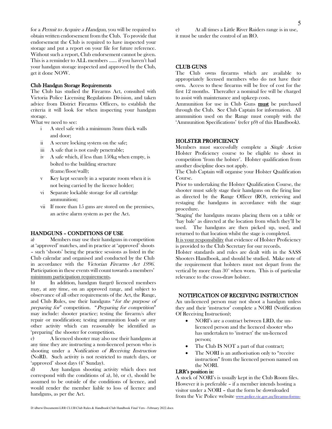for a *Permit to Acquire a Handgun*, you will be required to obtain written endorsement from the Club. To provide that endorsement the Club is required to have inspected your storage and put a report on your file for future reference. Without such a report, Club endorsement cannot be given. This is a reminder to ALL members …… if you haven't had your handgun storage inspected and approved by the Club, get it done NOW.

#### Club Handgun Storage Requirements

The Club has studied the Firearms Act, consulted with Victoria Police Licensing Regulations Division, and taken advice from District Firearms Officers, to establish the criteria it will look for when inspecting your handgun storage.

What we need to see:

- i A steel safe with a minimum 3mm thick walls and door;
- ii A secure locking system on the safe;
- iii A safe that is not easily penetrable;
- iv A safe which, if less than 150kg when empty, is bolted to the building structure (frame/floor/wall);
- v Key kept securely in a separate room when it is not being carried by the licence holder;
- vi Separate lockable storage for all cartridge ammunition;
- vii If more than 15 guns are stored on the premises, an active alarm system as per the Act.

#### HANDGUNS – CONDITIONS OF USE

Members may use their handguns in competition at 'approved' matches, and in practice at 'approved' shoots – such 'shoots' being the practice sessions as listed in the Club calendar and organised and conducted by the Club in accordance with the Victorian Firearms Act 1996. Participation in these events will count towards a members' minimum participation requirements.

b) In addition, handgun (target) licenced members may, at any time, on an approved range, and subject to observance of all other requirements of the Act, the Range, and Club Rules, use their handguns "for the purpose of preparing for" competition. "Preparing for competition" may include: shooter practice; testing the firearm/s after repair or modification; testing ammunition loads or any other activity which can reasonably be identified as 'preparing' the shooter for competition.

c) A licenced shooter may also use their handguns at any time they are instructing a non-licenced person who is shooting under a Notification of Receiving Instruction (NoRI). Such activity is not restricted to match days, or 'approved' shoot days  $(4<sup>th</sup>$  Sunday).

d) Any handgun shooting activity which does not correspond with the conditions of a), b), or c), should be assumed to be outside of the conditions of licence, and would render the member liable to loss of licence and handguns, as per the Act.

e) At all times a Little River Raiders range is in use, it must be under the control of an RO.

#### CLUB GUNS

The Club owns firearms which are available to appropriately licensed members who do not have their own. Access to these firearms will be free of cost for the first 12 months. Thereafter a nominal fee will be charged to assist with maintenance and upkeep costs.

Ammunition for use in Club Guns must be purchased through the Club. See Club Captain for information. All ammunition used on the Range must comply with the 'Ammunition Specifications' (refer p9) of this Handbook).

#### HOLSTER PROFICIENCY

Members must successfully complete a *Single Action* Holster Proficiency course to be eligible to shoot in competition 'from the holster'. Holster qualification from another discipline does not apply.

The Club Captain will organise your Holster Qualification Course.

Prior to undertaking the Holster Qualification Course, the shooter must safely stage their handguns on the firing line as directed by the Range Officer (RO), retrieving and restaging the handguns in accordance with the stage procedure.

'Staging' the handguns means placing them on a table or 'hay bale' as directed at the location from which they'll be used. The handguns are then picked up, used, and returned to that location whilst the stage is completed.

It is your responsibility that evidence of Holster Proficiency is provided to the Club Secretary for our records.

Holster standards and rules are dealt with in the SASS Shooters Handbook, and should be studied. Make note of the requirement that holsters must not depart from the vertical by more than 30° when worn. This is of particular relevance to the cross-draw holster.

#### NOTIFICATION OF RECEIVING INSTRUCTION

An un-licenced person may not shoot a handgun unless they and their 'instructor' complete a NORI (Notification Of Receiving Instruction);

- NORI's are a contract between LRD, the unlicenced person and the licenced shooter who has undertaken to 'instruct' the un-licenced person;
- The Club IS NOT a part of that contract;
- The NORI is an authorisation only to "receive" instruction" from the licenced person named on the NORI.

#### LRR's position is:

A stock of NORI's is usually kept in the Club Room files. However it is preferable – if a member intends hosting a visitor under a NORI – that the form be downloaded from the Vic Police website [www.police.vic.gov.au/firearms-forms-](http://www.police.vic.gov.au/firearms-forms-and-reference-information)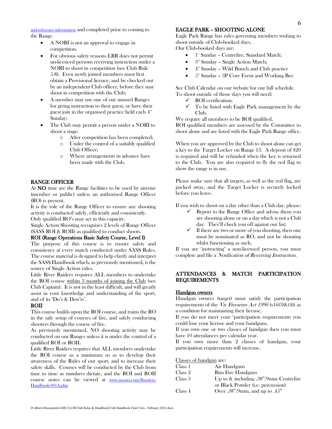[and-reference-information](http://www.police.vic.gov.au/firearms-forms-and-reference-information) and completed prior to coming to the Range.

- A NORI is not an approval to engage in competition.
- For obvious safety reasons LRR does not permit un-licenced persons receiving instruction under a NORI to shoot in competition (see Club Rule 5.8). Even newly joined members must first obtain a Provisional licence, and be checked out by an independent Club officer, before they may shoot in competition with the Club;
- A member may use one of our unused Ranges for giving instruction to their guest, or have their guest join in the organised practice held each  $4<sup>th</sup>$ Sunday;
- The Club may permit a person under a NORI to shoot a stage:
	- o After competition has been completed;
	- o Under the control of a suitably qualified Club Officer;
	- o Where arrangements in advance have been made with the Club.

#### RANGE OFFICER

At NO time are the Range facilities to be used by anyone (member or public) unless an authorised Range Officer (RO) is present.

It is the role of the Range Officer to ensure any shooting activity is conducted safely, efficiently and consistently.

Only qualified RO's may act in this capacity.

Single Action Shooting recognizes 2 levels of Range Officer (SASS ROI & ROII) as qualified to conduct shoots.

#### ROI (Range Operations Basic Safety Course, Level I)

The purpose of this course is to ensure safety and consistency at every match conducted under SASS Rules. The course material is designed to help clarify and interpret the SASS Handbook which, as previously mentioned, is the source of Single Action rules.

Little River Raiders requires ALL members to undertake the ROI course within 3 months of joining the Club (see Club Captain). It is not in the least difficult, and will greatly assist in your knowledge and understanding of the sport, and of its 'Do's & Don'ts'.

#### ROII

This course builds upon the ROI course, and trains the RO in the safe setup of courses of fire, and safely conducting shooters through the course of fire.

As previously mentioned, NO shooting activity may be conducted on our Ranges unless it is under the control of a qualified ROI or ROII.

Little River Raiders requires that ALL members undertake the ROI course as a minimum so as to develop their awareness of the Rules of our sport, and to increase their safety skills. Courses will be conducted by the Club from time to time as numbers dictate, and the ROI and ROII course notes can be viewed at [www.sassnet.com/Shooters-](http://www.sassnet.com/Shooters-Handbook-001A.php)[Handbook-001A.php](http://www.sassnet.com/Shooters-Handbook-001A.php)

#### EAGLE PARK – SHOOTING ALONE

Eagle Park Range has rules governing members wishing to shoot outside of Club-booked days. Our Club-booked days are:

- 1<sup>st</sup> Sunday Centrefire, Standard Match;
- $\bullet$   $3<sup>rd</sup>$  Sunday Single Action Match;
- 4<sup>th</sup> Sunday Wild Bunch and Club practice
- $\bullet$  5<sup>th</sup> Sunday 3P Core Event and Working Bee

See Club Calendar on our website for our full schedule. To shoot outside of those days you will need:

- $\checkmark$  ROI certification;<br> $\checkmark$  To be listed with
- To be listed with Eagle Park management by the Club.

We require all members to be ROI qualified.

ROI qualified members are assessed by the Committee to shoot alone and are listed with the Eagle Park Range office.

When you are approved by the Club to shoot alone can get a key to the Target Locker on Range 13. A deposit of \$20 is required and will be refunded when the key is returned to the Club. You are also required to fly the red flag to show the range is in use.

Please make sure that all targets, as well as the red flag, are packed away, and the Target Locker is securely locked before you leave.

If you wish to shoot on a day other than a Club day, please:

- $\checkmark$  Report to the Range Office and advise them you are shooting alone or on a day which is not a Club day. They'll check you off against our list;
- $\checkmark$  If there are two or more of you shooting, then one must be nominated as RO, and not be shooting whilst functioning as such.

If you are 'instructing' a non-licensed person, you must complete and file a *Notification of Receiving Instruction*.

#### ATTENDANCES & MATCH PARTICIPATION REQUIREMENTS

#### Handgun owners

Handgun owners (target) must satisfy the participation requirements of the Vic Firearms Act 1996 (s16(3)&(4)) as a condition for maintaining their license.

If you do not meet your 'participation requirements you could lose your license and your handguns.

If you own one or two classes of handgun then you must have 10 attendances per calendar year.

If you own more than 2 classes of handgun, your participation requirements will increase.

Classes of handgun are:

| Class 1 | Air Handguns                             |
|---------|------------------------------------------|
| Class 2 | <b>Rim Fire Handguns</b>                 |
| Class 3 | Up to $\&$ including .38"/9mm Centrefire |
|         | or Black Powder (i.e. percussion)        |
| Class 4 | Over $.38''/9$ mm, and up to $.45''$     |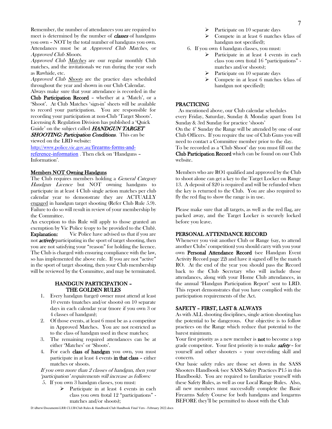Remember, the number of attendances you are required to meet is determined by the number of **classes** of handguns you own – NOT by the total number of handguns you own. Attendances must be at Approved Club Matches, or Approved Club Shoots.

Approved Club Matches are our regular monthly Club matches, and the invitationals we run during the year such as Rawhide, etc.

Approved Club **Shoots** are the practice days scheduled throughout the year and shown in our Club Calendar.

Always make sure that your attendance is recorded in the Club Participation Record – whether at a 'Match', or a 'Shoot'. At Club Matches 'sign-in' sheets will be available to record your participation. You are responsible for recording your participation at non-Club 'Target Shoots'. Licensing & Regulation Division has published a 'Quick Guide' on the subject called **HANDGUN TARGET** 

**SHOOTING: Participation Conditions.** This can be viewed on the LRD website:

[http://www.police.vic.gov.au/](http://www.police.vic.gov.au/firearms-forms-and-reference-information)firearms-forms-an[d](http://www.police.vic.gov.au/firearms-forms-and-reference-information)[reference-information](http://www.police.vic.gov.au/firearms-forms-and-reference-information) . Then click on 'Handguns – Information'.

#### Members NOT Owning Handguns

The Club requires members holding a *General Category* Handgun Licence but NOT owning handguns to participate in at least 4 Club single action matches per club calendar year to demonstrate they are ACTUALLY engaged in handgun target shooting (Refer Club Rule 5.9). Failure to do so will result in review of your membership by the Committee.

An exception to this Rule will apply to those granted an exemption by Vic Police (copy to be provided to the Club). **Explanation:** Vic Police have advised us that if you are not **actively** participating in the sport of target shooting, then you are not satisfying your "reason" for holding the licence. The Club is charged with ensuring compliance with the law, so has implemented the above rule. If you are not "active" in the sport of target shooting, then your Club membership will be reviewed by the Committee, and may be terminated.

#### HANDGUN PARTICIPATION – THE GOLDEN RULES

- 1. Every handgun (target) owner must attend at least 10 events (matches and/or shoots) on 10 separate days in each calendar year (more if you own 3 or 4 classes of handgun);
- 2. Of those events, at least 6 must be as a competitor in Approved Matches. You are not restricted as to the class of handgun used in these matches;
- 3. The remaining required attendances can be at either 'Matches' or 'Shoots'.
- 4. For each class of handgun you own, you must participate in at least 4 events in that class – either matches or shoots.

If you own more than 2 classes of handgun, then your 'participation' requirements will increase as follows: 5. If you own 3 handgun classes, you must:

> $\triangleright$  Participate in at least 4 events in each class you own (total 12 "participations" matches and/or shoots);

- Participate on 10 separate days
- ➢ Compete in at least 6 matches (class of handgun not specified);
- 6. If you own 4 handgun classes, you must:
	- $\triangleright$  Participate in at least 4 events in each class you own (total 16 "participations" matches and/or shoots);
	- $\triangleright$  Participate on 10 separate days
	- Compete in at least 6 matches (class of handgun not specified);

#### PRACTICING

As mentioned above, our Club calendar schedules every Friday, Saturday, Sunday & Monday apart from 1st Sunday & 3rd Sunday for practice 'shoots'

On the  $4^{\text{th}}$  Sunday the Range will be attended by one of our Club Officers. If you require the use of Club Guns you will need to contact a Committee member prior to the day.

To be recorded as a 'Club Shoot' day you must fill out the Club Participation Record which can be found on our Club website.

Members who are RO1 qualified and approved by the Club to shoot alone can get a key to the Target Locker on Range 13. A deposit of \$20 is required and will be refunded when the key is returned to the Club. You are also required to fly the red flag to show the range is in use.

Please make sure that all targets, as well as the red flag, are packed away, and the Target Locker is securely locked before you leave.

#### PERSONAL ATTENDANCE RECORD

Whenever you visit another Club or Range (say, to attend another Clubs' competition) you should carry with you your own Personal Attendance Record (see Handgun Event Activity Record page 22) and have it signed off by the match RO. At the end of the year you should pass the Record back to the Club Secretary who will include those attendances, along with your Home Club attendances, in the annual 'Handgun Participation Report' sent to LRD. This report demonstrates that you have complied with the participation requirements of the Act.

#### SAFETY – FIRST, LAST & ALWAYS

As with ALL shooting disciplines, single action shooting has the potential to be dangerous. Our objective is to follow practices on the Range which reduce that potential to the barest minimum.

Your first priority as a new member is **not** to become a top grade competitor. Your first priority is to make **safety** - for yourself and other shooters – your over-riding skill and concern.

Our basic safety rules are those set down in the SASS Shooters Handbook (see SASS Safety Practices P15 in this Handbook). You are required to familiarize yourself with these Safety Rules, as well as our Local Range Rules. Also, all new members must successfully complete the Basic Firearms Safety Course for both handguns and longarms BEFORE they'll be permitted to shoot with the Club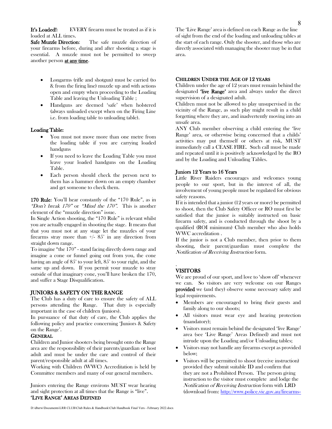It's Loaded!: EVERY firearm must be treated as if it is loaded at ALL times.

Safe Muzzle Direction: The safe muzzle direction of your firearms before, during and after shooting a stage is essential. A muzzle must not be permitted to sweep another person at any time.

- Longarms (rifle and shotgun) must be carried (to & from the firing line) muzzle up and with actions open and empty when proceeding to the Loading Table and leaving the Unloading Table ;
- Handguns are deemed 'safe' when holstered (always unloaded except when on the Firing Line i.e. from loading table to unloading table).

#### Loading Table:

- You must not move more than one metre from the loading table if you are carrying loaded handguns
- If you need to leave the Loading Table you must leave your loaded handguns on the Loading Table.
- Each person should check the person next to them has a hammer down on an empty chamber and get someone to check them.

170 Rule: You'll hear constantly of the "170 Rule", as in "Don't break  $170"$  or "Mind the  $170"$ . This is another element of the "muzzle direction" issue.

In Single Action shooting, the "170 Rule" is relevant whilst you are actually engaged in shooting the stage. It means that that you must not at any stage let the muzzles of your firearms stray more than  $+/- 85^\circ$  in any direction from straight down range.

To imagine "the 170" - stand facing directly down range and imagine a cone or funnel going out from you, the cone having an angle of 85° to your left, 85° to your right, and the same up and down. If you permit your muzzle to stray outside of that imaginary cone, you'll have broken the 170, and suffer a Stage Disqualification.

#### JUNIORS & SAFETY ON THE RANGE

The Club has a duty of care to ensure the safety of ALL persons attending the Range. That duty is especially important in the case of children (juniors).

In pursuance of that duty of care, the Club applies the following policy and practice concerning 'Juniors & Safety on the Range'.

#### **GENERAL**

Children and Junior shooters being brought onto the Range area are the responsibility of their parents/guardian or host adult and must be under the care and control of their parent/responsible adult at all times.

Working with Children (WWC) Accreditation is held by Committee members and many of our general members.

Juniors entering the Range environs MUST wear hearing and sight protection at all times that the Range is "live". 'LIVE RANGE' AREAS DEFINED

The 'Live Range' area is defined on each Range as the line of sight from the end of the loading and unloading tables at the start of each range. Only the shooter, and those who are directly associated with managing the shooter may be in that area.

#### CHILDREN UNDER THE AGE OF 12 YEARS

Children under the age of 12 years must remain behind the designated **'live Range'** area and always under the direct supervision of a designated adult.

Children must not be allowed to play unsupervised in the vicinity of the Range, as such play might result in a child forgetting where they are, and inadvertently moving into an unsafe area.

ANY Club member observing a child entering the 'live Range' area, or otherwise being concerned that a childs' activities may put themself or others at risk, MUST immediately call a CEASE FIRE. Such call must be made and repeated until it is positively acknowledged by the RO and by the Loading and Unloading Tables.

#### Juniors 12 Years to 16 Years

Little River Raiders encourages and welcomes young people to our sport, but in the interest of all, the involvement of young people must be regulated for obvious safety reasons.

If it is intended that a junior (12 years or more) be permitted to shoot, then the Club Safety Officer or RO must first be satisfied that the junior is suitably instructed on basic firearm safety, and is conducted through the shoot by a qualified (ROI minimum) Club member who also holds WWC accreditation .

If the junior is not a Club member, then prior to them shooting, their parent/guardian must complete the Notification of Receiving Instruction form.

#### **VISITORS**

.

We are proud of our sport, and love to 'show off' whenever we can. So visitors are very welcome on our Ranges provided we (and they) observe some necessary safety and legal requirements.

- Members are encouraged to bring their guests and family along to our shoots;
- All visitors must wear eye and hearing protection (mandatory);
- Visitors must remain behind the designated 'live Range' area (see 'Live Range' Areas Defined) and must not intrude upon the Loading and/or Unloading tables;
- Visitors may not handle any firearms except as provided below;
- Visitors will be permitted to shoot (receive instruction) provided they submit suitable ID and confirm that they are not a Prohibited Person. The person giving instruction to the visitor must complete and lodge the Notification of Receiving Instruction form with LRD (download from: [http://www.police.vic.gov.au/firearms](http://www.police.vic.gov.au/firearms-forms-and-reference-information)[-](http://www.police.vic.gov.au/firearms-forms-and-reference-information)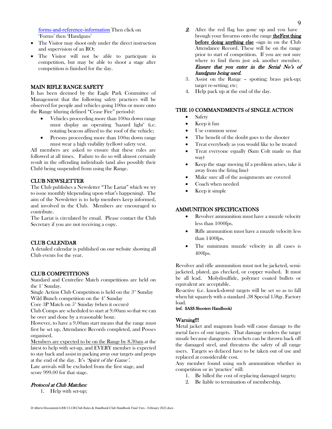[forms-and-reference-information](http://www.police.vic.gov.au/firearms-forms-and-reference-information) Then click on 'Forms' then 'Handguns'

- The Visitor may shoot only under the direct instruction and supervision of an RO;
- The Visitor will not be able to participate in competition, but may be able to shoot a stage after competition is finished for the day.

#### MAIN RIFLE RANGE SAFETY

It has been deemed by the Eagle Park Committee of Management that the following safety practices will be observed for people and vehicles going 100m or more onto the Range (during defined "Cease Fire" periods):

- Vehicles proceeding more than 100m down range must display an operating 'hazard light' (i.e. rotating beacon affixed to the roof of the vehicle;
- Persons proceeding more than 100m down range must wear a high visibility (yellow) safety vest.

All members are asked to ensure that these rules are followed at all times. Failure to do so will almost certainly result in the offending individuals (and also possibly their Club) being suspended from using the Range.

#### CLUB NEWSLETTER

The Club publishes a Newsletter "The Lariat" which we try to issue monthly (depending upon what's happening). The aim of the Newsletter is to help members keep informed, and involved in the Club. Members are encouraged to contribute.

The Lariat is circulated by email. Please contact the Club Secretary if you are not receiving a copy.

#### CLUB CALENDAR

A detailed calendar is published on our website showing all Club events for the year.

#### CLUB COMPETITIONS

Standard and Centrefire Match competitions are held on the  $1^{\mathrm{st}}$  Sunday.

Single Action Club Competition is held on the  $3<sup>nd</sup>$  Sunday Wild Bunch competition on the  $4<sup>th</sup>$  Sunday

Core 3P Match on  $5<sup>th</sup>$  Sunday (when it occurs)

Club Comps are scheduled to start at 9.00am so that we can be over and done by a reasonable hour.

However, to have a 9.00am start means that the range must first be set up, Attendance Records completed, and Posses organised.

Members are expected to be on the Range by 8.30am at the latest to help with set-up, and EVERY member is expected to stay back and assist in packing away our targets and props at the end of the day. It's 'Spirit of the Game'.

Late arrivals will be excluded from the first stage, and score 999.00 for that stage.

#### Protocol at Club Matches:

1. Help with set-up;

- 2. After the red flag has gone up and you have brough your firearms onto the range theFirst thing before doing anything else -sign in on the Club Attendance Record. These will be on the range prior to start of competition. If you are not sure where to find them just ask another member. Ensure that you enter in the Serial No's of handguns being used.
- 3. Assist on the Range spotting; brass pick-up; target re-setting; etc;
- 4. Help pack up at the end of the day.

#### THE 10 COMMANDMENTS of SINGLE ACTION

- Safety
- Keep it fun
- Use common sense
- The benefit of the doubt goes to the shooter
- Treat everybody as you would like to be treated
- Treat everyone equally (Sam Colt made us that way)
- Keep the stage moving (if a problem arises, take it away from the firing line)
- Make sure all of the assignments are covered
- Coach when needed
- Keep it simple

#### AMMUNITION SPECIFICATIONS

- Revolver ammunition must have a muzzle velocity less than 1000fps.
- Rifle ammunition must have a muzzle velocity less than 1400fps.
- The minimum muzzle velocity in all cases is 400fps.

Revolver and rifle ammunition must not be jacketed, semijacketed, plated, gas checked, or copper washed. It must be all lead. Molydisulfide, polymer coated bullets or equivalent are acceptable.

Re-active (i.e. knock-down) targets will be set so as to fall when hit squarely with a standard .38 Special 158gr. Factory load.

#### (ref. SASS Shooters Handbook)

#### Warning!!!

Metal jacket and magnum loads will cause damage to the metal faces of our targets. That damage renders the target unsafe because dangerous ricochets can be thrown back off the damaged steel, and threatens the safety of all range users. Targets so defaced have to be taken out of use and replaced at considerable cost.

Any member found using such ammunition whether in competition or in 'practice' will:

- 1. Be billed the cost of replacing damaged targets;
- 2. Be liable to termination of membership.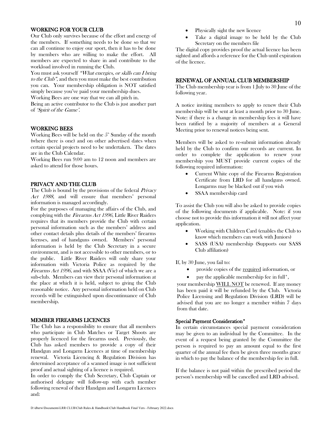#### WORKING FOR YOUR CLUB

Our Club only survives because of the effort and energy of the members. If something needs to be done so that we can all continue to enjoy our sport, then it has to be done by members who are willing to make the effort. All members are expected to share in and contribute to the workload involved in running the Club.

You must ask yourself "What energies, or skills can I bring" to the Club", and then you must make the best contribution you can. Your membership obligation is NOT satisfied simply because you've paid your membership dues.

Working Bees are one way that we can all pitch in.

Being an active contributor to the Club is just another part of 'Spirit of the Game'.

#### WORKING BEES

Working Bees will be held on the  $5<sup>th</sup>$  Sunday of the month (where there is one) and on other advertised dates when certain special projects need to be undertaken. The dates are in the Club Calendar.

Working Bees run 9:00 am to 12 noon and members are asked to attend for those hours.

#### PRIVACY AND THE CLUB

The Club is bound by the provisions of the federal *Privacy* Act 1988, and will ensure that members' personal information is managed accordingly.

For the purposes of managing the affairs of the Club, and complying with the Firearms Act 1996, Little River Raiders requires that its members provide the Club with certain personal information such as the members' address and other contact details plus details of the members' firearms licenses, and of handguns owned. Members' personal information is held by the Club Secretary in a secure environment, and is not accessible to other members, or to the public. Little River Raiders will only share your information with Victoria Police as required by the Firearms Act 1996, and with SSAA (Vic) of which we are a sub-club. Members can view their personal information at the place at which it is held, subject to giving the Club reasonable notice. Any personal information held on Club records will be extinguished upon discontinuance of Club membership.

#### MEMBER FIREARMS LICENCES

The Club has a responsibility to ensure that all members who participate in Club Matches or Target Shoots are properly licenced for the firearms used. Previously, the Club has asked members to provide a copy of their Handgun and Longarm Licences at time of membership renewal. Victoria Licencing & Regulation Division has determined acceptance of a scanned image is not sufficient proof and actual sighting of a licence is required.

In order to comply the Club Secretary, Club Captain or authorised delegate will follow-up with each member following renewal of their Handgun and Longarm Licences and:

- Physically sight the new licence
- Take a digital image to be held by the Club Secretary on the members file

The digital copy provides proof the actual licence has been sighted and affords a reference for the Club until expiration of the licence.

#### RENEWAL OF ANNUAL CLUB MEMBERSHIP

The Club membership year is from 1 July to 30 June of the following year.

A notice inviting members to apply to renew their Club membership will be sent at least a month prior to 30 June. Note: if there is a change in membership fees it will have been ratified by a majority of members at a General Meeting prior to renewal notices being sent.

Members will be asked to re-submit information already held by the Club to confirm our records are current. In order to complete the application to renew your membership you MUST provide current copies of the following required information:

- Current White copy of the Firearms Registration Certificate from LRD for all handguns owned. Longarms may be blacked out if you wish
- SSAA membership card

To assist the Club you will also be asked to provide copies of the following documents if applicable. Note: if you choose not to provide this information it will not affect your application.

- Working with Children Card (enables the Club to know which members can work with Juniors)
- SASS (USA) membership (Supports our SASS Club affiliation)

If, by 30 June, you fail to:

- provide copies of the required information, or
- pay the applicable membership fee in full<sup>\*</sup>,

your membership WILL NOT be renewed. If any money has been paid it will be refunded by the Club. Victoria Police Licensing and Regulation Division (LRD) will be advised that you are no longer a member within 7 days from that date.

#### Special Payment Consideration\*

In certain circumstances special payment consideration may be given to an individual by the Committee. In the event of a request being granted by the Committee the person is required to pay an amount equal to the first quarter of the annual fee then be given three months grace in which to pay the balance of the membership fee in full.

If the balance is not paid within the prescribed period the person's membership will be cancelled and LRD advised.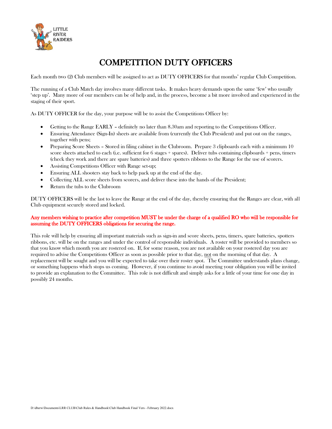

# COMPETITION DUTY OFFICERS

Each month two (2) Club members will be assigned to act as DUTY OFFICERS for that months' regular Club Competition.

The running of a Club Match day involves many different tasks. It makes heavy demands upon the same 'few' who usually 'step up'. Many more of our members can be of help and, in the process, become a bit more involved and experienced in the staging of their sport.

As DUTY OFFICER for the day, your purpose will be to assist the Competitions Officer by:

- Getting to the Range EARLY definitely no later than 8.30am and reporting to the Competitions Officer.
- Ensuring Attendance (Sign-In) sheets are available from (currently the Club President) and put out on the ranges, together with pens;
- Preparing Score Sheets Stored in filing cabinet in the Clubroom. Prepare 3 clipboards each with a minimum 10 score sheets attached to each (i.e. sufficient for 6 stages + spares). Deliver tubs containing clipboards + pens, timers (check they work and there are spare batteries) and three spotters ribbons to the Range for the use of scorers.
- Assisting Competitions Officer with Range set-up;
- Ensuring ALL shooters stay back to help pack up at the end of the day.
- Collecting ALL score sheets from scorers, and deliver these into the hands of the President;
- Return the tubs to the Clubroom

DUTY OFFICERS will be the last to leave the Range at the end of the day, thereby ensuring that the Ranges are clear, with all Club equipment securely stored and locked.

#### Any members wishing to practice after competition MUST be under the charge of a qualified RO who will be responsible for assuming the DUTY OFFICERS obligations for securing the range.

This role will help by ensuring all important materials such as sign-in and score sheets, pens, timers, spare batteries, spotters ribbons, etc. will be on the ranges and under the control of responsible individuals. A roster will be provided to members so that you know which month you are rostered on. If, for some reason, you are not available on your rostered day you are required to advise the Competitions Officer as soon as possible prior to that day, not on the morning of that day. A replacement will be sought and you will be expected to take over their roster spot. The Committee understands plans change, or something happens which stops us coming. However, if you continue to avoid meeting your obligation you will be invited to provide an explanation to the Committee. This role is not difficult and simply asks for a little of your time for one day in possibly 24 months.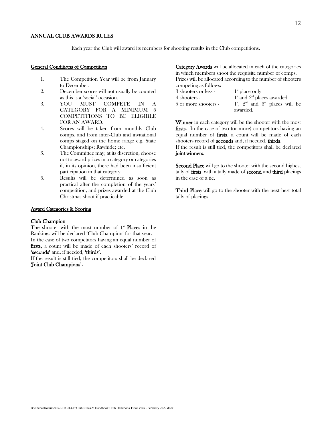#### ANNUAL CLUB AWARDS RULES

Each year the Club will award its members for shooting results in the Club competitions.

#### General Conditions of Competition

- 1. The Competition Year will be from January to December.
- 2. December scores will not usually be counted as this is a 'social' occasion.
- 3. YOU MUST COMPETE IN A CATEGORY FOR A MINIMUM 6 COMPETITIONS TO BE ELIGIBLE FOR AN AWARD.
- 4. Scores will be taken from monthly Club comps, and from inter-Club and invitational comps staged on the home range e.g. State Championships; Rawhide; etc.
- 5. The Committee may, at its discretion, choose not to award prizes in a category or categories if, in its opinion, there had been insufficient participation in that category.
- 6. Results will be determined as soon as practical after the completion of the years' competition, and prizes awarded at the Club Christmas shoot if practicable.

#### Award Categories & Scoring

#### Club Champion

The shooter with the most number of 1<sup>\*</sup> Places in the Rankings will be declared 'Club Champion' for that year. In the case of two competitors having an equal number of

firsts, a count will be made of each shooters' record of 'seconds' and, if needed, 'thirds'.

If the result is still tied, the competitors shall be declared 'Joint Club Champions'.

Category Awards will be allocated in each of the categories in which members shoot the requisite number of comps. Prizes will be allocated according to the number of shooters competing as follows:

| 3 shooters or less -   | $1^{\circ}$ place only                                                     |
|------------------------|----------------------------------------------------------------------------|
| 4 shooters -           | $1^*$ and $2^{\text{nd}}$ places awarded                                   |
| $5$ or more shooters - | $1^{\mathrm{st}}$ , $2^{\mathrm{nd}}$ and $3^{\mathrm{rd}}$ places will be |
|                        | awarded.                                                                   |

Winner in each category will be the shooter with the most firsts. In the case of two (or more) competitors having an equal number of firsts, a count will be made of each shooters record of seconds and, if needed, thirds. If the result is still tied, the competitors shall be declared joint winners.

**Second Place** will go to the shooter with the second highest tally of firsts, with a tally made of second and third placings in the case of a tie.

Third Place will go to the shooter with the next best total tally of placings.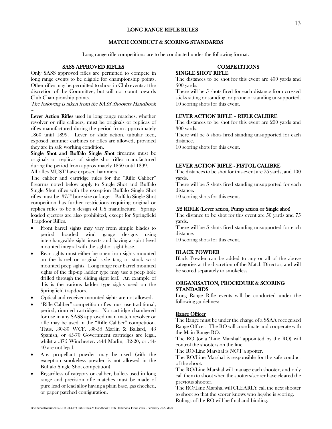### LONG RANGE RIFLE RULES

### MATCH CONDUCT & SCORING STANDARDS

Long range rifle competitions are to be conducted under the following format.

#### SASS APPROVED RIFLES

Only SASS approved rifles are permitted to compete in long range events to be eligible for championship points. Other rifles may be permitted to shoot in Club events at the discretion of the Committee, but will not count towards Club Championship points.

The following is taken from the SASS Shooters Handbook

–

Lever Action Rifles used in long range matches, whether revolver or rifle calibers, must be originals or replicas of rifles manufactured during the period from approximately 1860 until 1899. Lever or slide action, tubular feed, exposed hammer carbines or rifles are allowed, provided they are in safe working condition.

Single Shot and Buffalo Single Shot firearms must be originals or replicas of single shot rifles manufactured during the period from approximately 1860 until 1899. All rifles MUST have exposed hammers.

The caliber and cartridge rules for the "Rifle Caliber" firearms noted below apply to Single Shot and Buffalo Single Shot rifles with the exception Buffalo Single Shot rifles must be .375" bore size or larger. Buffalo Single Shot competition has further restrictions requiring original or replica rifles to be a design of US manufacture. Springloaded ejectors are also prohibited, except for Springfield

Trapdoor Rifles. • Front barrel sights may vary from simple blades to period hooded wind gauge designs using interchangeable sight inserts and having a spirit level mounted integral with the sight or sight base.

- Rear sights must either be open iron sights mounted on the barrel or original style tang or stock wrist mounted peep sights. Long range rear barrel mounted sights of the flip-up ladder type may use a peep hole drilled through the sliding sight leaf. An example of this is the various ladder type sights used on the Springfield trapdoors.
- Optical and receiver mounted sights are not allowed.
- "Rifle Caliber" competition rifles must use traditional, period, rimmed cartridges. No cartridge chambered for use in any SASS approved main match revolver or rifle may be used in the "Rifle Caliber" competition. Thus, .30-30 WCF, .38-55 Marlin & Ballard, .43 Spanish, or 45-70 Government cartridges are legal, whilst a .375 Winchester. .444 Marlin, .32-20, or .44- 40 are not legal.
- Any propellant powder may be used (with the exception smokeless powder is not allowed in the Buffalo Single Shot competition).
- Regardless of category or caliber, bullets used in long range and precision rifle matches must be made of pure lead or lead alloy having a plain base, gas checked, or paper patched configuration.

#### **COMPETITIONS** SINGLE SHOT RIFLE

The distances to be shot for this event are 400 yards and 500 yards.

There will be 5 shots fired for each distance from crossed sticks sitting or standing, or prone or standing unsupported. 10 scoring shots for this event.

#### LEVER ACTION RIFLE – RIFLE CALIBRE

The distances to be shot for this event are 200 yards and 300 yards.

There will be 5 shots fired standing unsupported for each distance.

10 scoring shots for this event.

#### LEVER ACTION RIFLE - PISTOL CALIBRE

The distances to be shot for this event are 75 yards, and 100 yards.

There will be 5 shots fired standing unsupported for each distance.

10 scoring shots for this event.

#### .22 RIFLE (Lever action, Pump action or Single shot)

The distance to be shot for this event are 50 yards and 75 yards.

There will be 5 shots fired standing unsupported for each distance.

10 scoring shots for this event.

#### BLACK POWDER

Black Powder can be added to any or all of the above categories at the discretion of the Match Director, and will be scored separately to smokeless.

#### ORGANISATION, PROCEDURE & SCORING STANDARDS

Long Range Rifle events will be conducted under the following guidelines:

#### Range Officer

The Range must be under the charge of a SSAA recognised Range Officer. The RO will coordinate and cooperate with the Main Range RO.

The RO (or a 'Line Marshal' appointed by the RO) will control the shooters on the line.

The RO/Line Marshal is NOT a spotter.

The RO/Line Marshal is responsible for the safe conduct of the shoot.

The RO/Line Marshal will manage each shooter, and only call them to shoot when the spotters/scorer have cleared the previous shooter.

The RO/Line Marshal will CLEARLY call the next shooter to shoot so that the scorer knows who he/she is scoring. Rulings of the RO will be final and binding.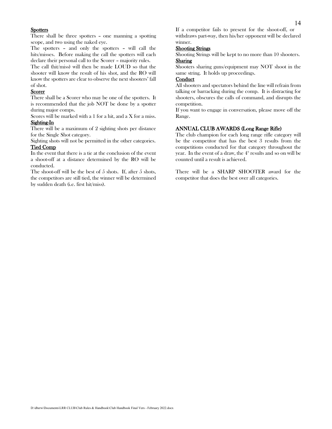#### **Spotters**

There shall be three spotters – one manning a spotting scope, and two using the naked eye.

The spotters – and only the spotters – will call the hits/misses. Before making the call the spotters will each declare their personal call to the Scorer – majority rules.

The call (hit/miss) will then be made LOUD so that the shooter will know the result of his shot, and the RO will know the spotters are clear to observe the next shooters' fall of shot.

#### Scorer

There shall be a Scorer who may be one of the spotters. It is recommended that the job NOT be done by a spotter during major comps.

Scores will be marked with a 1 for a hit, and a X for a miss. Sighting-In

There will be a maximum of 2 sighting shots per distance for the Single Shot category.

Sighting shots will not be permitted in the other categories. Tied Comp

In the event that there is a tie at the conclusion of the event a shoot-off at a distance determined by the RO will be conducted.

The shoot-off will be the best of 5 shots. If, after 5 shots, the competitors are still tied, the winner will be determined by sudden death (i.e. first hit/miss).

#### Shooting Strings

Shooting Strings will be kept to no more than 10 shooters. Sharing

Shooters sharing guns/equipment may NOT shoot in the same string. It holds up proceedings.

#### **Conduct**

All shooters and spectators behind the line will refrain from talking or barracking during the comp. It is distracting for shooters, obscures the calls of command, and disrupts the competition.

If you want to engage in conversation, please move off the Range.

#### ANNUAL CLUB AWARDS (Long Range Rifle)

The club champion for each long range rifle category will be the competitor that has the best 3 results from the competitions conducted for that category throughout the year. In the event of a draw, the  $4<sup>th</sup>$  results and so on will be counted until a result is achieved.

There will be a SHARP SHOOTER award for the competitor that does the best over all categories.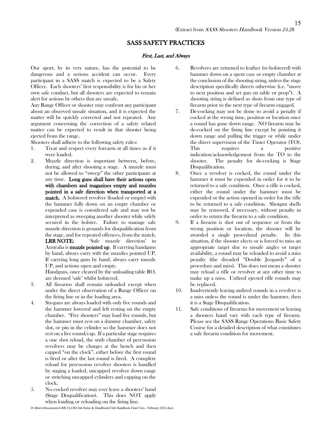## SASS SAFETY PRACTICES

#### First, Last, and Always

Our sport, by its very nature, has the potential to be dangerous and a serious accident can occur. Every participant in a SASS match is expected to be a Safety Officer. Each shooters' first responsibility is for his or her own safe conduct, but all shooters are expected to remain alert for actions by others that are unsafe.

Any Range Officer or shooter may confront any participant about an observed unsafe situation, and it is expected the matter will be quickly corrected and not repeated. Any argument concerning the correction of a safety related matter can be expected to result in that shooter being ejected from the range.

Shooters shall adhere to the following safety rules:

- 1. Treat and respect every forearm at all times as if it were loaded.
- 2. Muzzle direction is important between, before, during, and after shooting a stage. A muzzle must not be allowed to "sweep" the other participants at any time. Long guns shall have their actions open with chambers and magazines empty and muzzles pointed in a safe direction when transported at a match. A holstered revolver (loaded or empty) with the hammer fully down on an empty chamber or expended case is considered safe and may not be interpreted as sweeping another shooter while safely secured in the holster. Failure to manage safe muzzle direction is grounds for disqualification from the stage, and for repeated offences, from the match. LRR NOTE: 'Safe muzzle direction' in Australia is **muzzle pointed up.** If carrying handguns by hand, always carry with the muzzles pointed UP.

If carrying long guns by hand, always carry muzzle UP, and actions open and empty.

Handguns, once cleared by the unloading table RO, are deemed 'safe' whilst holstered.

- 3. All firearms shall remain unloaded except when under the direct observation of a Range Officer on the firing line or in the loading area.
- 4. Six-guns are always loaded with only five rounds and the hammer lowered and left resting on the empty chamber. "Five shooters" may load five rounds, but the hammer must rest on a dummy chamber, safety slot, or pin in the cylinder so the hammer does not rest on a live round/cap. If a particular stage requires a one shot reload, the sixth chamber of percussion revolvers may be charges at the bench and then capped "on the clock", either before the first round is fired or after the last round is fired. A complete reload for percussion revolver shooters is handled by staging a loaded, uncapped revolver down range or switching uncapped cylinders and capping on the clock.
- 5. No cocked revolver may ever leave a shooters' hand (Stage Disqualification). This does NOT apply when loading or reloading on the firing line.
- 6. Revolvers are returned to leather (re-holstered) with hammer down on a spent case or empty chamber at the conclusion of the shooting string, unless the stage description specifically directs otherwise (i.e. "move to next position and set gun on table or prop"). A shooting string is defined as shots from one type of firearm prior to the next type of firearm engaged.
- 7. De-cocking may not be done to avoid a penalty if cocked at the wrong time, position or location once a round has gone down range. NO firearm may be de-cocked on the firing line except by pointing it down range and pulling the trigger or while under the direct supervision of the Timer Operator (TO). This requires a positive indication/acknowledgement from the TO to the shooter. The penalty for de-cocking is Stage Disqualification.
- 8. Once a revolver is cocked, the round under the hammer it must be expended in order for it to be returned to a safe condition. Once a rifle is cocked, either the round under the hammer must be expended or the action opened in order for the rifle to be returned to a safe condition. Shotgun shells may be removed, if necessary, without penalty in order to return the firearm to a safe condition.
- 9. If a firearm is shot out of sequence or from the wrong position or location, the shooter will be awarded a single procedural penalty. In this situation, if the shooter elects or is forced to miss an appropriate target due to unsafe angles or target availability, a round may be reloaded to avoid a miss penalty (the dreaded "Double Jeopardy" of a procedure and miss). This does not mean a shooter may reload a rifle or revolver at any other time to make up a miss. Unfired ejected rifle rounds may be replaced.
- 10. Inadvertently leaving unfired rounds in a revolver is a miss unless the round is under the hammer, then it is a Stage Disqualification.
- 11. Safe conditions of firearms for movement or leaving a shooters hand vary with each type of firearm. Please see the SASS Range Operations Basic Safety Course for a detailed description of what constitutes a safe firearm condition for movement.

D:\dberw\Documents\LRR CLUB\Club Rules & Handbook\Club Handbook Final Vers - February 2022.docx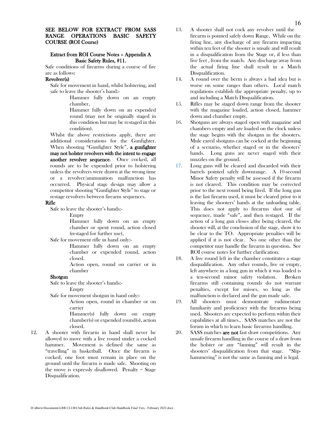#### Extract from ROI Course Notes – Appendix A Basic Safety Rules, #11.

Safe conditions of firearms during a course of fire are as follows:

#### Revolver(s)

Safe for movement in hand, whilst holstering, and safe to leave the shooter's hand:-

> Hammer fully down on an empty chamber,

> Hammer fully down on an expended round (may not be originally staged in this condition but may be restaged in this condition).

Whilst the above restrictions apply, there are additional considerations for the Gunfighter. When shooting "Gunfighter Style", a gunfighter may not holster revolvers with the intent to engage another revolver sequence. Once cocked, all rounds are to be expended prior to holstering unless the revolvers were drawn at the wrong time or a revolver/ammunition malfunction has occurred. Physical stage design may allow a competitor shooting "Gunfighter Style" to stage or restage revolvers between firearm sequences.

#### Rifle

Safe to leave the shooter's hands:-

Empty

Hammer fully down on an empty chamber or spent round, action closed (restaged for further use),

Safe for movement rifle in hand only:-

Hammer fully down on an empty chamber or expended round, action closed.

Action open, round on carrier or in chamber

#### Shotgun

Safe to leave the shooter's hands:-

Empty

Safe for movement shotgun in hand only:-

Action open, round in chamber or on carrier

Hammer(s) fully down on empty chamber(s) or expended round(s), action closed.

12. A shooter with firearm in hand shall never be allowed to move with a live round under a cocked hammer. Movement is defined the same as "travelling" in basketball. Once the firearm is cocked, one foot must remain in place on the ground until the firearm is made safe. Shooting on the move is expressly disallowed. Penalty = Stage Disqualification.

- 13. A shooter shall not cock any revolver until the firearm is pointed safely down Range. While on the firing line, any discharge of any firearm impacting within ten feet of the shooter is unsafe and will result in a disqualification from the Stage or, if less than five feet , from the match. Any discharge away from the actual firing line shall result in a Match Disqualification.
- 14. A round over the berm is always a bad idea but is worse on some ranges than others. Local match regulations establish the appropriate penalty, up to and including a Match Disqualification.
- 15. Rifles may be staged down range from the shooter with the magazine loaded, action closed, hammer down and chamber empty.
- 16. Shotguns are always staged open with magazine and chambers empty and are loaded on the clock unless the stage begins with the shotgun in the shooters. Mule eared shotguns can be cocked at the beginning of a scenario, whether staged or in the shooters' hands. Long guns are never staged with their muzzles on the ground.
- 17. Long guns will be cleared and discarded with their barrels pointed safely downrange. A 10-second Minor Safety penalty will be assessed if the firearm is not cleared. This condition may be corrected prior to the next round being fired. If the long gun is the last firearm used, it must be cleared prior to it leaving the shooters' hands at the unloading table. This does not apply to firearms shot our of sequence, made "safe", and then restaged. If the action of a long gun closes after being cleared, the shooter will, at the conclusion of the stage, show it to be clear to the TO. Appropriate penalties will be applied if it is not clear. No one other than the competitor may handle the firearm in question. See ROI course notes for further clarification.
- 18. A live round left in the chamber constitutes a stage disqualification. Any other rounds, live or empty, left anywhere in a long gun in which it was loaded is a ten-second minor safety violation. Broken firearms still containing rounds do not warrant penalties, except for misses, so long as the malfunction is declared and the gun made safe.
- 19. All shooters must demonstrate rudimentary familiarity and proficiency with the firearms being used. Shooters are expected to perform within their capabilities at all times.. SASS matches are not the forum in which to learn basic firearms handling.
- 20. SASS matches are not fast draw competitions. Any unsafe firearm handling in the course of a draw from the holster or any "fanning" will result in the shooters' disqualification from that stage. "Sliphammering" is not the same as fanning and is legal.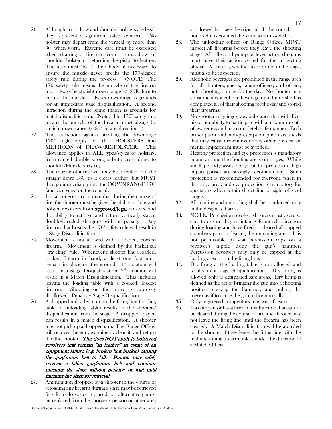- 21. Although cross draw and shoulder holsters are legal, they represent a significant safety concern. No holster may depart from the vertical by more than 30° when worn. Extreme care must be exercised when drawing a firearm from a cross-draw or shoulder holster or returning the pistol to leather. The user must "twist" their body, if necessary, to ensure the muzzle never breaks the 170-degree safety rule during the process. (NOTE: The 170˚safety rule means the muzzle of the firearm must always be straight down range +/- 85Failure to ensure the muzzle is always downrange is grounds for an immediate stage disqualification. A second infraction during the same match is grounds for match disqualification. (Note: The 170° safety rule means the muzzle of the firearm must always be straight down range  $\frac{+}{85}$  in any direction. ).
- 22. The restrictions against breaking the downrange 170° angle apply to ALL HOLSTERS and METHODS of DRAW/REHOLSTER. This allowance applies to ALL types/styles of holsters, from canted double strong side to cross draw, to shoulder/Huckleberry rigs.
- 23. The muzzle of a revolver may be oriented into the straight down 180° as it clears leather, but MUST then go immediately into the DOWNRANGE 170° (and vice versa on the return).
- 24. It is also necessary to note that during the course of fire, the shooter must be given the ability to draw and holster revolvers from **approved/legal** holsters, and the ability to retrieve and return vertically staged double-barreled shotguns without penalty. Any firearm that breaks the 170° safety rule will result in a Stage Disqualification.
- 25. Movement is not allowed with a loaded, cocked firearm. Movement is defined by the basketball "traveling" rule. Whenever a shooter has a loaded, cocked firearm in hand, at least one foot must remain in place on the ground.  $1^*$  violation will result in a Stage Disqualification;  $2<sup>nd</sup>$  violation will result in a Match Disqualification. This includes leaving the loading table with a cocked, loaded firearm. Shooting on the move is expressly disallowed. Penalty = Stage Disqualification.
- 26. A dropped unloaded gun on the firing line (loading table to unloading table) results in the shooters' disqualification from the stage. A dropped loaded gun results in a match disqualification. A shooter may not pick up a dropped gun. The Range Officer will recover the gun, examine it, clear it, and return it to the shooter. This does NOT apply to holstered revolvers that remain "in leather" in event of an equipment failure (e.g. broken belt buckle) causing the gun/ammo belt to fall. Shooter may safely recover a fallen gun/ammo belt and continue finishing the stage without penalty; or wait until finishing the stage for retrieval.
- 27. Ammunition dropped by a shooter in the course of reloading any firearm during a stage may be retrieved (if safe to do so) or replaced, or, alternatively must be replaced from the shooter's person or other area

as allowed by stage description. If the round is not fired it is counted the same as a missed shot.

- 28. The unloading officer or Range Officer MUST inspect all firearms before they leave the shooting stage. All rifles and pump or lever action shotguns must have their action cycled for the inspecting official. All pistols, whether used or not in the stage, must also be inspected.
- 29. Alcoholic beverages are prohibited in the range area for all shooters, guests, range officers, and others, until shooting is done for the day. No shooter may consume any alcoholic beverage until he or she has completed all of their shooting for the day and stored their firearms.
- 30. No shooter may ingest any substance that will affect his or her ability to participate with a maximum state of awareness and in a completely safe manner. Both prescription and non-prescription pharmaceuticals that may cause drowsiness or any other physical or mental impairment must be avoided.
- 31. Hearing protection and eye protection is mandatory in and around the shooting areas on ranges. While small, period glasses look great, full protection , high impact glasses are strongly recommended. Such protection is recommended for everyone when in the range area, and eye protection is mandatory for spectators when within direct line of sight of steel targets
- 32. All loading and unloading shall be conducted only in the designated areas.
- 33. NOTE: Percussion revolver shooters must exercise care to ensure they maintain safe muzzle direction during loading and have fired or cleared all capped chambers prior to leaving the unloading area. It is not permissible to seat percussion caps on a revolver's nipple using the gun's hammer. Percussion revolvers may only be capped at the loading area or on the firing line.
- 34. Dry firing at the loading table is not allowed and results in a stage disqualification. Dry firing is allowed only at designated safe areas. Dry firing is defined as the act of bringing the gun into a shooting position, cocking the hammer, and pulling the trigger as if to cause the gun to fire normally.
- 35. Only registered competitors may wear firearms.
- 36. If a competitor has a firearm malfunction that cannot be cleared during the course of fire, the shooter may not leave the firing line until the firearm has been cleared. A Match Disqualification will be awarded to the shooter if they leave the firing line with the malfunctioning firearm unless under the direction of a Match Official.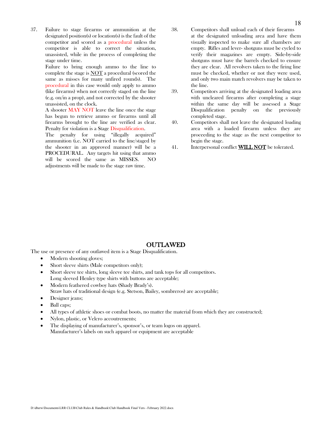37. Failure to stage firearms or ammunition at the designated position(s) or location(s) is the fault of the competitor and scored as a procedural unless the competitor is able to correct the situation, unassisted, while in the process of completing the stage under time.

> Failure to bring enough ammo to the line to complete the stage is NOT a procedural (scored the same as misses for many unfired rounds). The procedural in this case would only apply to ammo (like firearms) when not correctly staged on the line (e.g. on/in a prop), and not corrected by the shooter unassisted, on the clock.

> A shooter MAY NOT leave the line once the stage has begun to retrieve ammo or firearms until all firearms brought to the line are verified as clear. Penalty for violation is a Stage Disqualification.

> The penalty for using "illegally acquired" ammunition (i.e. NOT carried to the line/staged by the shooter in an approved manner) will be a PROCEDURAL. Any targets hit using that ammo will be scored the same as MISSES. NO adjustments will be made to the stage raw time.

- 38. Competitors shall unload each of their firearms at the designated unloading area and have them visually inspected to make sure all chambers are empty. Rifles and lever- shotguns must be cycled to verify their magazines are empty. Side-by-side shotguns must have the barrels checked to ensure they are clear. All revolvers taken to the firing line must be checked, whether or not they were used, and only two main match revolvers may be taken to the line.
- 39. Competitors arriving at the designated loading area with uncleared firearms after completing a stage within the same day will be assessed a Stage Disqualification penalty on the previously completed stage.
- 40. Competitors shall not leave the designated loading area with a loaded firearm unless they are proceeding to the stage as the next competitor to begin the stage.
- 41. Interpersonal conflict **WILL NOT** be tolerated.

#### OUTLAWED

The use or presence of any outlawed item is a Stage Disqualification.

- Modern shooting gloves;
- Short sleeve shirts (Male competitors only);
- Short sleeve tee shirts, long sleeve tee shirts, and tank tops for all competitors. Long sleeved Henley type shirts with buttons are acceptable;
- Modern feathered cowboy hats (Shady Brady's). Straw hats of traditional design (e.g. Stetson, Bailey, sombreros) are acceptable;
- Designer jeans;
- Ball caps:
- All types of athletic shoes or combat boots, no matter the material from which they are constructed;
- Nylon, plastic, or Velcro accoutrements;
- The displaying of manufacturer's, sponsor's, or team logos on apparel. Manufacturer's labels on such apparel or equipment are acceptable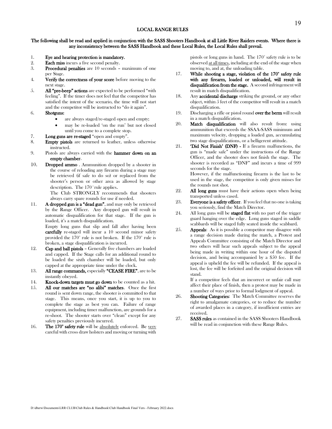#### The following shall be read and applied in conjunction with the SASS Shooters Handbook at all Little River Raiders events. Where there is any inconsistency between the SASS Handbook and these Local Rules, the Local Rules shall prevail.

- 1. **Eye and hearing protection is mandatory.**<br>2. **Each miss incurs a five second penalty.**
- 2. **Each miss** incurs a five second penalty.<br>3. **Procedural penalties** are 10 seconds -
- Procedural penalties are 10 seconds maximum of one per Stage.
- 4. Verify the correctness of your score before moving to the next stage.
- 5. All "pre-beep" actions are expected to be performed "with feeling". If the timer does not feel that the competitor has satisfied the intent of the scenario, the time will not start and the competitor will be instructed to "do it again".
- 6. Shotguns:
	- are always staged/re-staged open and empty;
	- may be re-loaded 'on the run' but not closed until you come to a complete stop.
- 7. Long guns are re-staged "open and empty".
- 8. Empty pistols are returned to leather, unless otherwise instructed.
- 9. Pistols are always carried with the hammer down on an empty chamber.
- 10. Dropped ammo . Ammunition dropped by a shooter in the course of reloading any firearm during a stage may be retrieved (if safe to do so) or replaced from the shooter's person or other area as allowed by stage description. The 170˚rule applies.

The Club STRONGLY recommends that shooters always carry spare rounds for use if needed.

11. A dropped gun is a "dead gun", and may only be retrieved by the Range Officer. Any dropped gun will result in automatic disqualification for that stage. If the gun is loaded, it's a match disqualification.

Empty long guns that slip and fall after having been carefully re-staged will incur a 10 second minor safety provided the 170° rule is not broken. If the 170° rule is broken, a stage disqualification is incurred.

- 12. Cap and ball pistols Generally five chambers are loaded and capped. If the Stage calls for an additional round to be loaded the sixth chamber will be loaded, but only capped at the appropriate time under the clock.
- 13. All range commands, especially "CEASE FIRE", are to be instantly obeyed.
- 14. Knock-down targets must go down to be counted as a hit.
- 15. All our matches are "no alibi" matches. Once the first round is sent down range, the shooter is committed to that stage. This means, once you start, it is up to you to complete the stage as best you can. Failure of range equipment, including timer malfunction, are grounds for a re-shoot. The shooter starts over "clean" except for any safety penalties previously incurred.
- 16. The 170° safety rule will be absolutely enforced. Be very careful with cross draw holsters and moving or turning with

pistols or long guns in hand. The 170° safety rule is to be observed at all times, including at the end of the stage when moving to, and at, the unloading table.

- 17. While shooting a stage, violation of the 170° safety rule with any firearm, loaded or unloaded, will result in disqualification from the stage. A second infringement will result in match disqualification.
- 18. Any **accidental discharge** striking the ground, or any other object, within 5 feet of the competitor will result in a match disqualification.
- 19. Discharging a rifle or pistol round **over the berm** will result in a match disqualification.
- 20. Match disqualification will also result from: using ammunition that exceeds the SSAA-SASS minimum and maximum velocity, dropping a loaded gun, accumulating two stage disqualifications, or a belligerent attitude.
- 21. 'Did Not Finish' (DNF) If a firearm malfunctions, the gun is "made safe" under the instructions of the Range Officer, and the shooter does not finish the stage. The shooter is recorded as "DNF" and incurs a time of 999 seconds for the stage.

However, if the malfunctioning firearm is the last to be used in the stage, the competitor is only given misses for the rounds not shot.

- 22. All long guns must have their actions open when being transported unless cased.
- 23. Everyone is a safety officer. If you feel that no one is taking you seriously, find the Match Director.
- 24. All long guns will be **staged flat** with no part of the trigger guard hanging over the edge. Long guns staged in saddle scabbards will be staged fully seated inside the scabbard.
- 25. **Appeals:** As it is possible a competitor may disagree with a range decision made during the match, a Protest and Appeals Committee consisting of the Match Director and two others will hear such appeals subject to the appeal being made in writing within one hour of the disputed decision, and being accompanied by a \$50 fee. If the appeal is upheld the fee will be refunded. If the appeal is lost, the fee will be forfeited and the original decision will stand.

If a competitor feels that an incorrect or unfair call may affect their place of finish, then a protest may be made in a number of ways prior to formal lodgment of appeal.

- 26. Shooting Categories: The Match Committee reserves the right to amalgamate categories, or to reduce the number of awarded places in a category, if insufficient entries are received.
- 27. SASS rules as contained in the SASS Shooters Handbook will be read in conjunction with these Range Rules.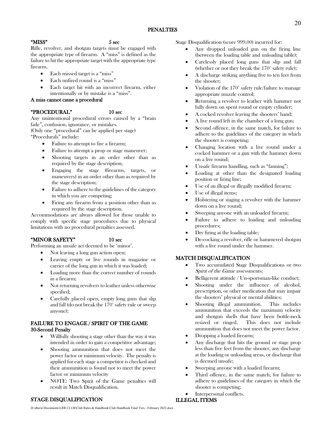#### $MISS"$  5 sec

Rifle, revolver, and shotgun targets must be engaged with the appropriate type of firearm. A "miss" is defined as the failure to hit the appropriate target with the appropriate type firearm.

- Each missed target is a "miss"
- Each unfired round is a "miss"
- Each target hit with an incorrect firearm, either intentionally or by mistake is a "miss".

#### A miss cannot cause a procedural

#### "PROCEDURAL" 10 sec

Any unintentional procedural errors caused by a "brain fade", confusion, ignorance, or mistakes.

(Only one "procedural" can be applied per stage) "Procedurals" include:

- Failure to attempt to fire a firearm;
- Failure to attempt a prop or stage maneuver;
- Shooting targets in an order other than as required by the stage description;
- Engaging the stage (firearms, targets, or maneuvers) in an order other than as required by the stage description;
- Failure to adhere to the guidelines of the category in which you are competing;
- Firing any firearm from a position other than as required by the stage description.

Accommodations are always allowed for those unable to comply with specific stage procedures due to physical limitations with no procedural penalties assessed.

### "MINOR SAFETY" 10 sec

Performing an unsafe act deemed to be 'minor'.

- Not leaving a long gun action open;
- Leaving empty or live rounds in magazine or carrier of the long gun in which it was loaded;
- Loading more than the correct number of rounds in a firearm;
- Not returning revolvers to leather unless otherwise specified;
- Carefully placed open, empty long guns that slip and fall (do not break the 170° safety rule or sweep anyone);

#### FAILURE TO ENGAGE / SPIRIT OF THE GAME 30-Second Penalty

- Willfully shooting a stage other than the way it was intended in order to gain a competitive advantage;
- Shooting ammunition that does not meet the power factor or minimum velocity. The penalty is applied for each stage a competitor is checked and their ammunition is found not to meet the power factor or minimum velocity
- NOTE: Two Spirit of the Game penalties will result in Match Disqualification.

Stage Disqualification (score 999.00) incurred for:

- Any dropped unloaded gun on the firing line (between the loading table and unloading table);
- Carelessly placed long guns that slip and fall (whether or not they break the 170° safety rule);
- A discharge striking anything five to ten feet from the shooter;
- Violation of the 170° safety rule/failure to manage appropriate muzzle control;
- Returning a revolver to leather with hammer not fully down on spent round or empty cylinder;
- A cocked revolver leaving the shooters' hand;
- A live round left in the chamber of a long gun;
- Second offence, in the same match, for failure to adhere to the guidelines of the category in which the shooter is competing;
- Changing location with a live round under a cocked hammer or a gun with the hammer down on a live round;
- Unsafe firearm handling, such as "fanning";
- Loading at other than the designated loading position or firing line;
- Use of an illegal or illegally modified firearm;
- Use of illegal items;
- Holstering or staging a revolver with the hammer down on a live round;
- Sweeping anyone with an unloaded firearm;
- Failure to adhere to loading and unloading procedures;
- Dry firing at the loading table;
- De-cocking a revolver, rifle or hammered shotgun with a live round under the hammer.

### MATCH DISQUALIFICATION

- Two accumulated Stage Disqualifications or two Spirit of the Game assessments;
- Belligerent attitude / Un-sportsman-like conduct;
- Shooting under the influence of alcohol. prescription, or other medication that may impair the shooters' physical or mental abilities;
- Shooting illegal ammunition. This includes ammunition that exceeds the maximum velocity and shotgun shells that have been bottle-neck resized or ringed. This does not include ammunition that does not meet the power factor.
- Dropping a loaded firearm;
- Any discharge that hits the ground or stage prop less than five feet from the shooter, any discharge at the loading or unloading areas, or discharge that is deemed unsafe;
- Sweeping anyone with a loaded firearm;
- Third offence, in the same match, for failure to adhere to guidelines of the category in which the shooter is competing;
- Interpersonal conflicts.

### ILLEGAL ITEMS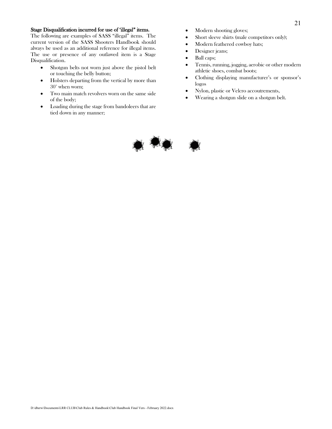#### Stage Disqualification incurred for use of 'illegal" items.

The following are examples of SASS "illegal" items. The current version of the SASS Shooters Handbook should always be used as an additional reference for illegal items. The use or presence of any outlawed item is a Stage Disqualification.

- Shotgun belts not worn just above the pistol belt or touching the belly button;
- Holsters departing from the vertical by more than 30° when worn;
- Two main match revolvers worn on the same side of the body;
- Loading during the stage from bandoleers that are tied down in any manner;
- Modern shooting gloves;
- Short sleeve shirts (male competitors only);
- Modern feathered cowboy hats;
- Designer jeans;
- Ball caps;
- Tennis, running, jogging, aerobic or other modern athletic shoes, combat boots;
- Clothing displaying manufacturer's or sponsor's logos
- Nylon, plastic or Velcro accoutrements,
- Wearing a shotgun slide on a shotgun belt.